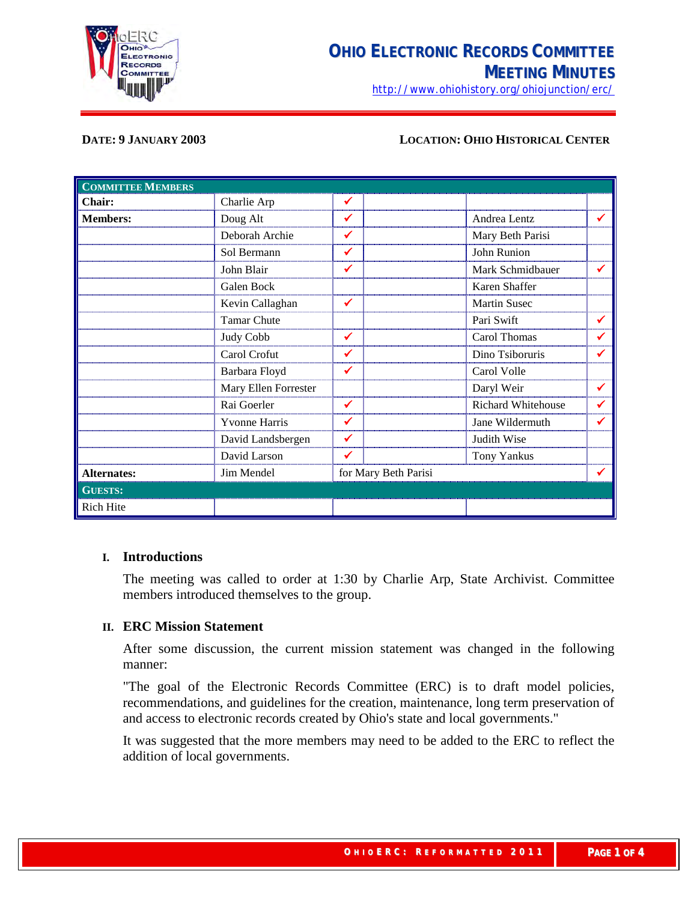

<http://www.ohiohistory.org/ohiojunction/erc/>

#### **DATE: 9 JANUARY 2003 LOCATION: OHIO HISTORICAL CENTER**

| <b>COMMITTEE MEMBERS</b> |                      |              |                      |                     |   |
|--------------------------|----------------------|--------------|----------------------|---------------------|---|
| Chair:                   | Charlie Arp          | ✔            |                      |                     |   |
| <b>Members:</b>          | Doug Alt             | ✔            |                      | Andrea Lentz        | ✔ |
|                          | Deborah Archie       | ✔            |                      | Mary Beth Parisi    |   |
|                          | Sol Bermann          | ✔            |                      | John Runion         |   |
|                          | John Blair           | ✓            |                      | Mark Schmidbauer    | ✔ |
|                          | Galen Bock           |              |                      | Karen Shaffer       |   |
|                          | Kevin Callaghan      | ✔            |                      | <b>Martin Susec</b> |   |
|                          | <b>Tamar Chute</b>   |              |                      | Pari Swift          | ✔ |
|                          | Judy Cobb            | ✓            |                      | Carol Thomas        | ✔ |
|                          | Carol Crofut         |              |                      | Dino Tsiboruris     | ✔ |
|                          | Barbara Floyd        | ✔            |                      | Carol Volle         |   |
|                          | Mary Ellen Forrester |              |                      | Daryl Weir          | ✔ |
|                          | Rai Goerler          | $\checkmark$ |                      | Richard Whitehouse  | ✔ |
|                          | <b>Yvonne Harris</b> | ✔            |                      | Jane Wildermuth     | ✔ |
|                          | David Landsbergen    | $\checkmark$ |                      | Judith Wise         |   |
|                          | David Larson         | ✓            |                      | <b>Tony Yankus</b>  |   |
| <b>Alternates:</b>       | Jim Mendel           |              | for Mary Beth Parisi |                     |   |
| <b>GUESTS:</b>           |                      |              |                      |                     |   |
| <b>Rich Hite</b>         |                      |              |                      |                     |   |

#### **I. Introductions**

The meeting was called to order at 1:30 by Charlie Arp, State Archivist. Committee members introduced themselves to the group.

# **II. ERC Mission Statement**

After some discussion, the current mission statement was changed in the following manner:

"The goal of the Electronic Records Committee (ERC) is to draft model policies, recommendations, and guidelines for the creation, maintenance, long term preservation of and access to electronic records created by Ohio's state and local governments."

It was suggested that the more members may need to be added to the ERC to reflect the addition of local governments.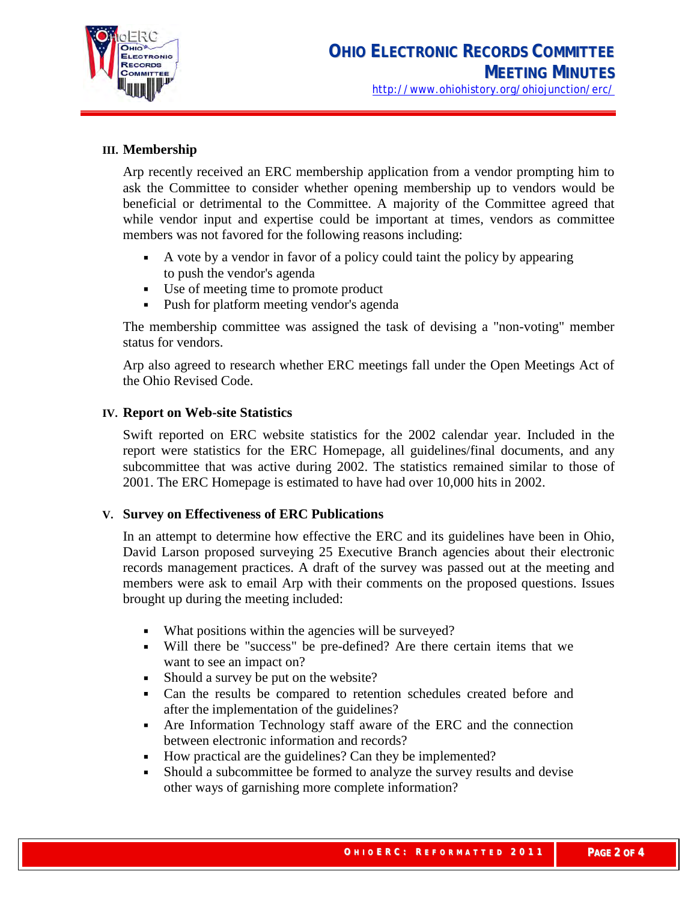

# **III. Membership**

Arp recently received an ERC membership application from a vendor prompting him to ask the Committee to consider whether opening membership up to vendors would be beneficial or detrimental to the Committee. A majority of the Committee agreed that while vendor input and expertise could be important at times, vendors as committee members was not favored for the following reasons including:

- A vote by a vendor in favor of a policy could taint the policy by appearing to push the vendor's agenda
- Use of meeting time to promote product
- Push for platform meeting vendor's agenda

The membership committee was assigned the task of devising a "non-voting" member status for vendors.

Arp also agreed to research whether ERC meetings fall under the Open Meetings Act of the Ohio Revised Code.

# **IV. Report on Web-site Statistics**

Swift reported on ERC website statistics for the 2002 calendar year. Included in the report were statistics for the ERC Homepage, all guidelines/final documents, and any subcommittee that was active during 2002. The statistics remained similar to those of 2001. The ERC Homepage is estimated to have had over 10,000 hits in 2002.

# **V. Survey on Effectiveness of ERC Publications**

In an attempt to determine how effective the ERC and its guidelines have been in Ohio, David Larson proposed surveying 25 Executive Branch agencies about their electronic records management practices. A draft of the survey was passed out at the meeting and members were ask to email Arp with their comments on the proposed questions. Issues brought up during the meeting included:

- What positions within the agencies will be surveyed?
- Will there be "success" be pre-defined? Are there certain items that we want to see an impact on?
- Should a survey be put on the website?
- Can the results be compared to retention schedules created before and after the implementation of the guidelines?
- Are Information Technology staff aware of the ERC and the connection between electronic information and records?
- How practical are the guidelines? Can they be implemented?
- Should a subcommittee be formed to analyze the survey results and devise other ways of garnishing more complete information?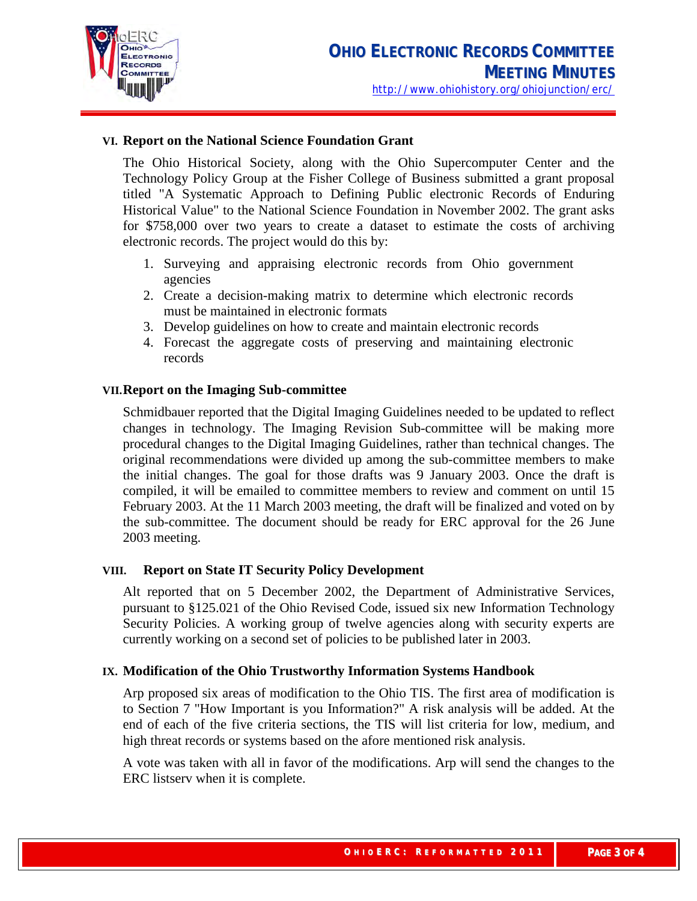

# **VI. Report on the National Science Foundation Grant**

The Ohio Historical Society, along with the Ohio Supercomputer Center and the Technology Policy Group at the Fisher College of Business submitted a grant proposal titled "A Systematic Approach to Defining Public electronic Records of Enduring Historical Value" to the National Science Foundation in November 2002. The grant asks for \$758,000 over two years to create a dataset to estimate the costs of archiving electronic records. The project would do this by:

- 1. Surveying and appraising electronic records from Ohio government agencies
- 2. Create a decision-making matrix to determine which electronic records must be maintained in electronic formats
- 3. Develop guidelines on how to create and maintain electronic records
- 4. Forecast the aggregate costs of preserving and maintaining electronic records

#### **VII.Report on the Imaging Sub-committee**

Schmidbauer reported that the Digital Imaging Guidelines needed to be updated to reflect changes in technology. The Imaging Revision Sub-committee will be making more procedural changes to the Digital Imaging Guidelines, rather than technical changes. The original recommendations were divided up among the sub-committee members to make the initial changes. The goal for those drafts was 9 January 2003. Once the draft is compiled, it will be emailed to committee members to review and comment on until 15 February 2003. At the 11 March 2003 meeting, the draft will be finalized and voted on by the sub-committee. The document should be ready for ERC approval for the 26 June 2003 meeting.

# **VIII. Report on State IT Security Policy Development**

Alt reported that on 5 December 2002, the Department of Administrative Services, pursuant to §125.021 of the Ohio Revised Code, issued six new Information Technology Security Policies. A working group of twelve agencies along with security experts are currently working on a second set of policies to be published later in 2003.

# **IX. Modification of the Ohio Trustworthy Information Systems Handbook**

Arp proposed six areas of modification to the Ohio TIS. The first area of modification is to Section 7 "How Important is you Information?" A risk analysis will be added. At the end of each of the five criteria sections, the TIS will list criteria for low, medium, and high threat records or systems based on the afore mentioned risk analysis.

A vote was taken with all in favor of the modifications. Arp will send the changes to the ERC listserv when it is complete.